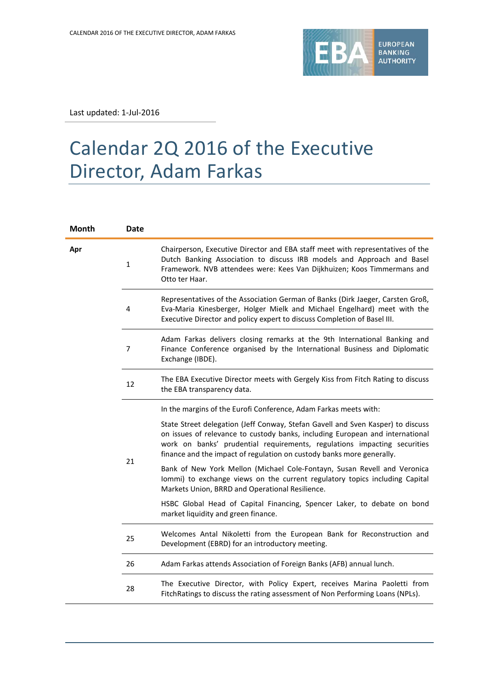

Last updated: 1-Jul-2016

## Calendar 2Q 2016 of the Executive Director, Adam Farkas

| Month | <b>Date</b>  |                                                                                                                                                                                                                                                                                                                       |
|-------|--------------|-----------------------------------------------------------------------------------------------------------------------------------------------------------------------------------------------------------------------------------------------------------------------------------------------------------------------|
| Apr   | $\mathbf{1}$ | Chairperson, Executive Director and EBA staff meet with representatives of the<br>Dutch Banking Association to discuss IRB models and Approach and Basel<br>Framework. NVB attendees were: Kees Van Dijkhuizen; Koos Timmermans and<br>Otto ter Haar.                                                                 |
|       | 4            | Representatives of the Association German of Banks (Dirk Jaeger, Carsten Groß,<br>Eva-Maria Kinesberger, Holger Mielk and Michael Engelhard) meet with the<br>Executive Director and policy expert to discuss Completion of Basel III.                                                                                |
|       | 7            | Adam Farkas delivers closing remarks at the 9th International Banking and<br>Finance Conference organised by the International Business and Diplomatic<br>Exchange (IBDE).                                                                                                                                            |
|       | 12           | The EBA Executive Director meets with Gergely Kiss from Fitch Rating to discuss<br>the EBA transparency data.                                                                                                                                                                                                         |
|       |              | In the margins of the Eurofi Conference, Adam Farkas meets with:                                                                                                                                                                                                                                                      |
|       | 21           | State Street delegation (Jeff Conway, Stefan Gavell and Sven Kasper) to discuss<br>on issues of relevance to custody banks, including European and international<br>work on banks' prudential requirements, regulations impacting securities<br>finance and the impact of regulation on custody banks more generally. |
|       |              | Bank of New York Mellon (Michael Cole-Fontayn, Susan Revell and Veronica<br>Iommi) to exchange views on the current regulatory topics including Capital<br>Markets Union, BRRD and Operational Resilience.                                                                                                            |
|       |              | HSBC Global Head of Capital Financing, Spencer Laker, to debate on bond<br>market liquidity and green finance.                                                                                                                                                                                                        |
|       | 25           | Welcomes Antal Nikoletti from the European Bank for Reconstruction and<br>Development (EBRD) for an introductory meeting.                                                                                                                                                                                             |
|       | 26           | Adam Farkas attends Association of Foreign Banks (AFB) annual lunch.                                                                                                                                                                                                                                                  |
|       | 28           | The Executive Director, with Policy Expert, receives Marina Paoletti from<br>FitchRatings to discuss the rating assessment of Non Performing Loans (NPLs).                                                                                                                                                            |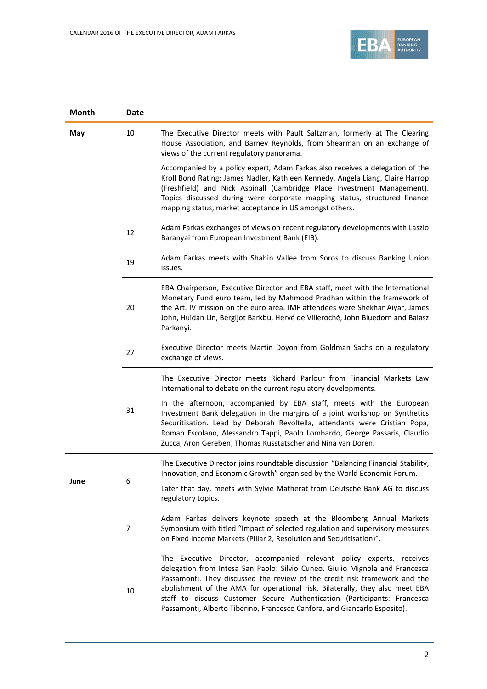

| <b>Month</b> | Date |                                                                                                                                                                                                                                                                                                                                                                                                                                                                              |
|--------------|------|------------------------------------------------------------------------------------------------------------------------------------------------------------------------------------------------------------------------------------------------------------------------------------------------------------------------------------------------------------------------------------------------------------------------------------------------------------------------------|
| May          | 10   | The Executive Director meets with Pault Saltzman, formerly at The Clearing<br>House Association, and Barney Reynolds, from Shearman on an exchange of<br>views of the current regulatory panorama.                                                                                                                                                                                                                                                                           |
|              |      | Accompanied by a policy expert, Adam Farkas also receives a delegation of the<br>Kroll Bond Rating: James Nadler, Kathleen Kennedy, Angela Liang, Claire Harrop<br>(Freshfield) and Nick Aspinall (Cambridge Place Investment Management).<br>Topics discussed during were corporate mapping status, structured finance<br>mapping status, market acceptance in US amongst others.                                                                                           |
|              | 12   | Adam Farkas exchanges of views on recent regulatory developments with Laszlo<br>Baranyai from European Investment Bank (EIB).                                                                                                                                                                                                                                                                                                                                                |
|              | 19   | Adam Farkas meets with Shahin Vallee from Soros to discuss Banking Union<br>issues.                                                                                                                                                                                                                                                                                                                                                                                          |
|              | 20   | EBA Chairperson, Executive Director and EBA staff, meet with the International<br>Monetary Fund euro team, led by Mahmood Pradhan within the framework of<br>the Art. IV mission on the euro area. IMF attendees were Shekhar Aiyar, James<br>John, Huidan Lin, Bergljot Barkbu, Hervé de Villeroché, John Bluedorn and Balasz<br>Parkanyi.                                                                                                                                  |
|              | 27   | Executive Director meets Martin Doyon from Goldman Sachs on a regulatory<br>exchange of views.                                                                                                                                                                                                                                                                                                                                                                               |
|              |      | The Executive Director meets Richard Parlour from Financial Markets Law<br>International to debate on the current regulatory developments.                                                                                                                                                                                                                                                                                                                                   |
|              | 31   | In the afternoon, accompanied by EBA staff, meets with the European<br>Investment Bank delegation in the margins of a joint workshop on Synthetics<br>Securitisation. Lead by Deborah Revoltella, attendants were Cristian Popa,<br>Roman Escolano, Alessandro Tappi, Paolo Lombardo, George Passaris, Claudio<br>Zucca, Aron Gereben, Thomas Kusstatscher and Nina van Doren.                                                                                               |
| June         | 6    | The Executive Director joins roundtable discussion "Balancing Financial Stability,<br>Innovation, and Economic Growth" organised by the World Economic Forum.                                                                                                                                                                                                                                                                                                                |
|              |      | Later that day, meets with Sylvie Matherat from Deutsche Bank AG to discuss<br>regulatory topics.                                                                                                                                                                                                                                                                                                                                                                            |
|              | 7    | Adam Farkas delivers keynote speech at the Bloomberg Annual Markets<br>Symposium with titled "Impact of selected regulation and supervisory measures<br>on Fixed Income Markets (Pillar 2, Resolution and Securitisation)".                                                                                                                                                                                                                                                  |
|              | 10   | The Executive Director, accompanied relevant policy experts, receives<br>delegation from Intesa San Paolo: Silvio Cuneo, Giulio Mignola and Francesca<br>Passamonti. They discussed the review of the credit risk framework and the<br>abolishment of the AMA for operational risk. Bilaterally, they also meet EBA<br>staff to discuss Customer Secure Authentication (Participants: Francesca<br>Passamonti, Alberto Tiberino, Francesco Canfora, and Giancarlo Esposito). |